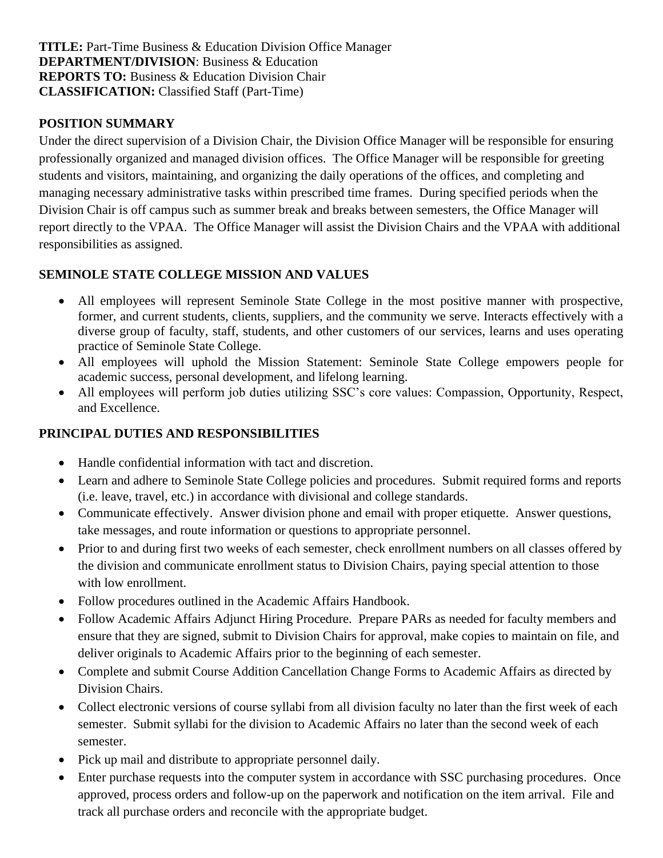**TITLE:** Part-Time Business & Education Division Office Manager **DEPARTMENT/DIVISION:** Business & Education **REPORTS TO:** Business & Education Division Chair **CLASSIFICATION:** Classified Staff (Part-Time)

#### **POSITION SUMMARY**

Under the direct supervision of a Division Chair, the Division Office Manager will be responsible for ensuring professionally organized and managed division offices. The Office Manager will be responsible for greeting students and visitors, maintaining, and organizing the daily operations of the offices, and completing and managing necessary administrative tasks within prescribed time frames. During specified periods when the Division Chair is off campus such as summer break and breaks between semesters, the Office Manager will report directly to the VPAA. The Office Manager will assist the Division Chairs and the VPAA with additional responsibilities as assigned.

### **SEMINOLE STATE COLLEGE MISSION AND VALUES**

- All employees will represent Seminole State College in the most positive manner with prospective, former, and current students, clients, suppliers, and the community we serve. Interacts effectively with a diverse group of faculty, staff, students, and other customers of our services, learns and uses operating practice of Seminole State College.
- All employees will uphold the Mission Statement: Seminole State College empowers people for academic success, personal development, and lifelong learning.
- All employees will perform job duties utilizing SSC's core values: Compassion, Opportunity, Respect, and Excellence.

#### **PRINCIPAL DUTIES AND RESPONSIBILITIES**

- Handle confidential information with tact and discretion.
- Learn and adhere to Seminole State College policies and procedures. Submit required forms and reports (i.e. leave, travel, etc.) in accordance with divisional and college standards.
- Communicate effectively. Answer division phone and email with proper etiquette. Answer questions, take messages, and route information or questions to appropriate personnel.
- Prior to and during first two weeks of each semester, check enrollment numbers on all classes offered by the division and communicate enrollment status to Division Chairs, paying special attention to those with low enrollment.
- Follow procedures outlined in the Academic Affairs Handbook.
- Follow Academic Affairs Adjunct Hiring Procedure. Prepare PARs as needed for faculty members and ensure that they are signed, submit to Division Chairs for approval, make copies to maintain on file, and deliver originals to Academic Affairs prior to the beginning of each semester.
- Complete and submit Course Addition Cancellation Change Forms to Academic Affairs as directed by Division Chairs.
- Collect electronic versions of course syllabi from all division faculty no later than the first week of each semester. Submit syllabi for the division to Academic Affairs no later than the second week of each semester.
- Pick up mail and distribute to appropriate personnel daily.
- Enter purchase requests into the computer system in accordance with SSC purchasing procedures. Once approved, process orders and follow-up on the paperwork and notification on the item arrival. File and track all purchase orders and reconcile with the appropriate budget.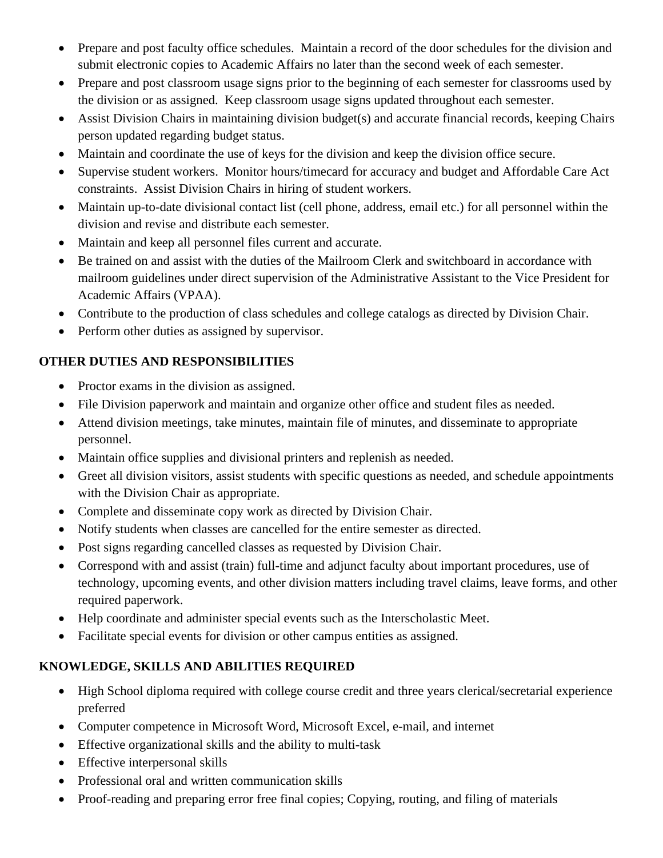- Prepare and post faculty office schedules. Maintain a record of the door schedules for the division and submit electronic copies to Academic Affairs no later than the second week of each semester.
- Prepare and post classroom usage signs prior to the beginning of each semester for classrooms used by the division or as assigned. Keep classroom usage signs updated throughout each semester.
- Assist Division Chairs in maintaining division budget(s) and accurate financial records, keeping Chairs person updated regarding budget status.
- Maintain and coordinate the use of keys for the division and keep the division office secure.
- Supervise student workers. Monitor hours/timecard for accuracy and budget and Affordable Care Act constraints. Assist Division Chairs in hiring of student workers.
- Maintain up-to-date divisional contact list (cell phone, address, email etc.) for all personnel within the division and revise and distribute each semester.
- Maintain and keep all personnel files current and accurate.
- Be trained on and assist with the duties of the Mailroom Clerk and switchboard in accordance with mailroom guidelines under direct supervision of the Administrative Assistant to the Vice President for Academic Affairs (VPAA).
- Contribute to the production of class schedules and college catalogs as directed by Division Chair.
- Perform other duties as assigned by supervisor.

## **OTHER DUTIES AND RESPONSIBILITIES**

- Proctor exams in the division as assigned.
- File Division paperwork and maintain and organize other office and student files as needed.
- Attend division meetings, take minutes, maintain file of minutes, and disseminate to appropriate personnel.
- Maintain office supplies and divisional printers and replenish as needed.
- Greet all division visitors, assist students with specific questions as needed, and schedule appointments with the Division Chair as appropriate.
- Complete and disseminate copy work as directed by Division Chair.
- Notify students when classes are cancelled for the entire semester as directed.
- Post signs regarding cancelled classes as requested by Division Chair.
- Correspond with and assist (train) full-time and adjunct faculty about important procedures, use of technology, upcoming events, and other division matters including travel claims, leave forms, and other required paperwork.
- Help coordinate and administer special events such as the Interscholastic Meet.
- Facilitate special events for division or other campus entities as assigned.

# **KNOWLEDGE, SKILLS AND ABILITIES REQUIRED**

- High School diploma required with college course credit and three years clerical/secretarial experience preferred
- Computer competence in Microsoft Word, Microsoft Excel, e-mail, and internet
- Effective organizational skills and the ability to multi-task
- Effective interpersonal skills
- Professional oral and written communication skills
- Proof-reading and preparing error free final copies; Copying, routing, and filing of materials